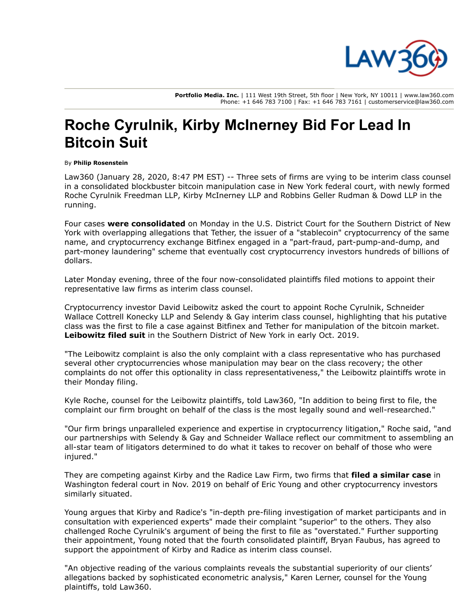

Portfolio Media. Inc. | 111 West 19th Street, 5th floor | New York, NY 10011 | www.law360.com Phone: +1 646 783 7100 | Fax: +1 646 783 7161 | customerservice@law360.com

## Roche Cyrulnik, Kirby McInerney Bid For Lead In Bitcoin Suit

## By Philip Rosenstein

Law360 (January 28, 2020, 8:47 PM EST) -- Three sets of firms are vying to be interim class counsel in a consolidated blockbuster bitcoin manipulation case in New York federal court, with newly formed Roche Cyrulnik [Freedman](https://www.law360.com/firms/roche-cyrulnik-freedman) LLP, Kirby [McInerney](https://www.law360.com/firms/kirby-mcinerney) LLP and Robbins Geller [Rudman](https://www.law360.com/firms/robbins-geller) & Dowd LLP in the running.

Four cases were [consolidated](https://www.law360.com/articles/1237873/quartet-of-bitcoin-manipulation-cases-consolidated-in-sdny) on Monday in the U.S. District Court for the Southern District of New York with overlapping allegations that Tether, the issuer of a "stablecoin" [cryptocurrency](https://www.law360.com/agencies/u-s-district-court-for-the-southern-district-of-new-york) of the same name, and cryptocurrency exchange [Bitfinex](https://www.law360.com/companies/ifinex-inc) engaged in a "part-fraud, part-pump-and-dump, and part-money laundering" scheme that eventually cost cryptocurrency investors hundreds of billions of dollars.

Later Monday evening, three of the four now-consolidated plaintiffs filed motions to appoint their representative law firms as interim class counsel.

[Cryptocurrency](https://www.law360.com/firms/schneider-wallace) investor David Leibowitz asked the court to appoint Roche Cyrulnik, Schneider Wallace Cottrell Konecky LLP and [Selendy](https://www.law360.com/firms/selendy-gay) & Gay interim class counsel, highlighting that his putative class was the first to file a case against Bitfinex and Tether for manipulation of the bitcoin market. [Leibowitz](https://www.law360.com/articles/1206932) filed suit in the Southern District of New York in early Oct. 2019.

"The Leibowitz complaint is also the only complaint with a class representative who has purchased several other cryptocurrencies whose manipulation may bear on the class recovery; the other complaints do not offer this optionality in class representativeness," the Leibowitz plaintiffs wrote in their Monday filing.

Kyle Roche, counsel for the Leibowitz plaintiffs, told Law360, "In addition to being first to file, the complaint our firm brought on behalf of the class is the most legally sound and well-researched."

"Our firm brings unparalleled experience and expertise in cryptocurrency litigation," Roche said, "and our partnerships with Selendy & Gay and Schneider Wallace reflect our commitment to assembling an all-star team of litigators determined to do what it takes to recover on behalf of those who were injured."

They are competing against Kirby and the Radice Law Firm, two firms that filed a [similar](https://www.law360.com/articles/1222931/bitfinex-tether-face-fresh-set-of-bitcoin-manipulation-claims) case in Washington federal court in Nov. 2019 on behalf of Eric Young and other cryptocurrency investors similarly situated.

Young argues that Kirby and Radice's "in-depth pre-filing investigation of market participants and in consultation with experienced experts" made their complaint "superior" to the others. They also challenged Roche Cyrulnik's argument of being the first to file as "overstated." Further supporting their appointment, Young noted that the fourth consolidated plaintiff, Bryan Faubus, has agreed to support the appointment of Kirby and Radice as interim class counsel.

"An objective reading of the various complaints reveals the substantial superiority of our clients' allegations backed by sophisticated econometric analysis," Karen Lerner, counsel for the Young plaintiffs, told Law360.